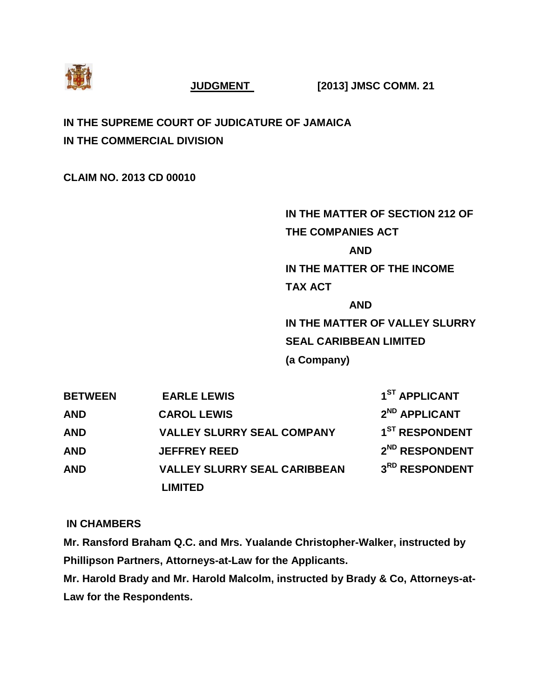

# **JUDGMENT [2013] JMSC COMM. 21**

# **IN THE SUPREME COURT OF JUDICATURE OF JAMAICA IN THE COMMERCIAL DIVISION**

**CLAIM NO. 2013 CD 00010**

**IN THE MATTER OF SECTION 212 OF THE COMPANIES ACT AND IN THE MATTER OF THE INCOME TAX ACT AND IN THE MATTER OF VALLEY SLURRY SEAL CARIBBEAN LIMITED (a Company)**

| <b>BETWEEN</b> | <b>EARLE LEWIS</b>                  | 1 <sup>ST</sup> APPLICANT  |
|----------------|-------------------------------------|----------------------------|
| <b>AND</b>     | <b>CAROL LEWIS</b>                  | 2 <sup>ND</sup> APPLICANT  |
| <b>AND</b>     | <b>VALLEY SLURRY SEAL COMPANY</b>   | 1 <sup>ST</sup> RESPONDENT |
| <b>AND</b>     | <b>JEFFREY REED</b>                 | 2 <sup>ND</sup> RESPONDENT |
| <b>AND</b>     | <b>VALLEY SLURRY SEAL CARIBBEAN</b> | 3RD RESPONDENT             |
|                | <b>LIMITED</b>                      |                            |

# **IN CHAMBERS**

**Mr. Ransford Braham Q.C. and Mrs. Yualande Christopher-Walker, instructed by Phillipson Partners, Attorneys-at-Law for the Applicants.**

**Mr. Harold Brady and Mr. Harold Malcolm, instructed by Brady & Co, Attorneys-at-Law for the Respondents.**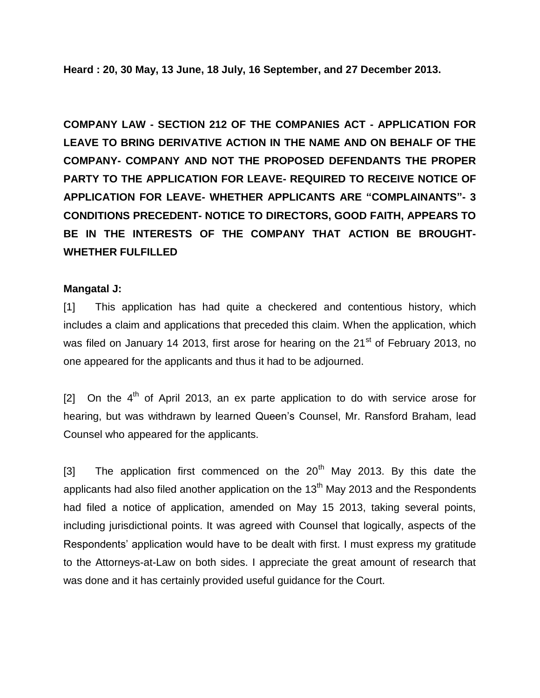**Heard : 20, 30 May, 13 June, 18 July, 16 September, and 27 December 2013.**

**COMPANY LAW - SECTION 212 OF THE COMPANIES ACT - APPLICATION FOR LEAVE TO BRING DERIVATIVE ACTION IN THE NAME AND ON BEHALF OF THE COMPANY- COMPANY AND NOT THE PROPOSED DEFENDANTS THE PROPER PARTY TO THE APPLICATION FOR LEAVE- REQUIRED TO RECEIVE NOTICE OF APPLICATION FOR LEAVE- WHETHER APPLICANTS ARE "COMPLAINANTS"- 3 CONDITIONS PRECEDENT- NOTICE TO DIRECTORS, GOOD FAITH, APPEARS TO BE IN THE INTERESTS OF THE COMPANY THAT ACTION BE BROUGHT-WHETHER FULFILLED** 

### **Mangatal J:**

[1] This application has had quite a checkered and contentious history, which includes a claim and applications that preceded this claim. When the application, which was filed on January 14 2013, first arose for hearing on the  $21<sup>st</sup>$  of February 2013, no one appeared for the applicants and thus it had to be adjourned.

[2] On the  $4<sup>th</sup>$  of April 2013, an ex parte application to do with service arose for hearing, but was withdrawn by learned Queen's Counsel, Mr. Ransford Braham, lead Counsel who appeared for the applicants.

[3] The application first commenced on the  $20<sup>th</sup>$  May 2013. By this date the applicants had also filed another application on the  $13<sup>th</sup>$  May 2013 and the Respondents had filed a notice of application, amended on May 15 2013, taking several points, including jurisdictional points. It was agreed with Counsel that logically, aspects of the Respondents' application would have to be dealt with first. I must express my gratitude to the Attorneys-at-Law on both sides. I appreciate the great amount of research that was done and it has certainly provided useful guidance for the Court.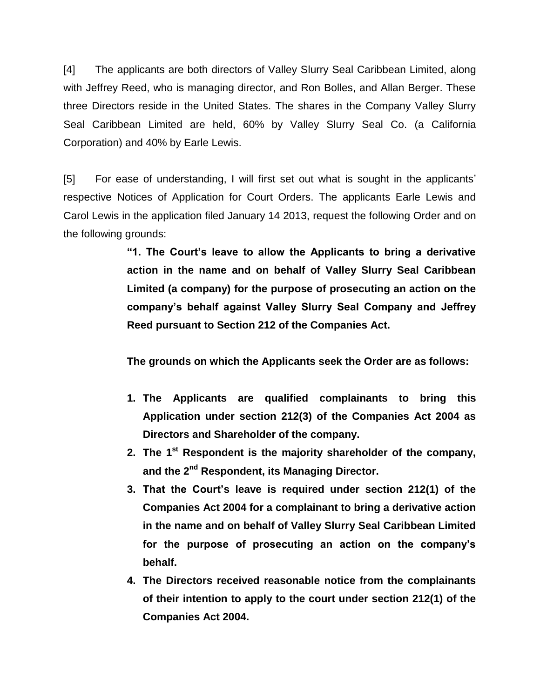[4] The applicants are both directors of Valley Slurry Seal Caribbean Limited, along with Jeffrey Reed, who is managing director, and Ron Bolles, and Allan Berger. These three Directors reside in the United States. The shares in the Company Valley Slurry Seal Caribbean Limited are held, 60% by Valley Slurry Seal Co. (a California Corporation) and 40% by Earle Lewis.

[5] For ease of understanding, I will first set out what is sought in the applicants' respective Notices of Application for Court Orders. The applicants Earle Lewis and Carol Lewis in the application filed January 14 2013, request the following Order and on the following grounds:

> **"1. The Court's leave to allow the Applicants to bring a derivative action in the name and on behalf of Valley Slurry Seal Caribbean Limited (a company) for the purpose of prosecuting an action on the company's behalf against Valley Slurry Seal Company and Jeffrey Reed pursuant to Section 212 of the Companies Act.**

**The grounds on which the Applicants seek the Order are as follows:**

- **1. The Applicants are qualified complainants to bring this Application under section 212(3) of the Companies Act 2004 as Directors and Shareholder of the company.**
- **2. The 1st Respondent is the majority shareholder of the company, and the 2nd Respondent, its Managing Director.**
- **3. That the Court's leave is required under section 212(1) of the Companies Act 2004 for a complainant to bring a derivative action in the name and on behalf of Valley Slurry Seal Caribbean Limited for the purpose of prosecuting an action on the company's behalf.**
- **4. The Directors received reasonable notice from the complainants of their intention to apply to the court under section 212(1) of the Companies Act 2004.**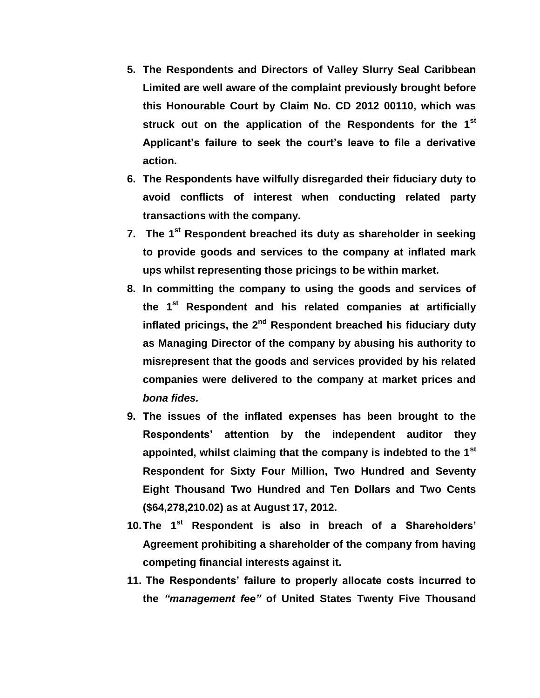- **5. The Respondents and Directors of Valley Slurry Seal Caribbean Limited are well aware of the complaint previously brought before this Honourable Court by Claim No. CD 2012 00110, which was struck out on the application of the Respondents for the 1st Applicant's failure to seek the court's leave to file a derivative action.**
- **6. The Respondents have wilfully disregarded their fiduciary duty to avoid conflicts of interest when conducting related party transactions with the company.**
- **7. The 1st Respondent breached its duty as shareholder in seeking to provide goods and services to the company at inflated mark ups whilst representing those pricings to be within market.**
- **8. In committing the company to using the goods and services of the 1st Respondent and his related companies at artificially inflated pricings, the 2nd Respondent breached his fiduciary duty as Managing Director of the company by abusing his authority to misrepresent that the goods and services provided by his related companies were delivered to the company at market prices and**  *bona fides.*
- **9. The issues of the inflated expenses has been brought to the Respondents' attention by the independent auditor they appointed, whilst claiming that the company is indebted to the 1st Respondent for Sixty Four Million, Two Hundred and Seventy Eight Thousand Two Hundred and Ten Dollars and Two Cents (\$64,278,210.02) as at August 17, 2012.**
- **10.The 1st Respondent is also in breach of a Shareholders' Agreement prohibiting a shareholder of the company from having competing financial interests against it.**
- **11. The Respondents' failure to properly allocate costs incurred to the** *"management fee"* **of United States Twenty Five Thousand**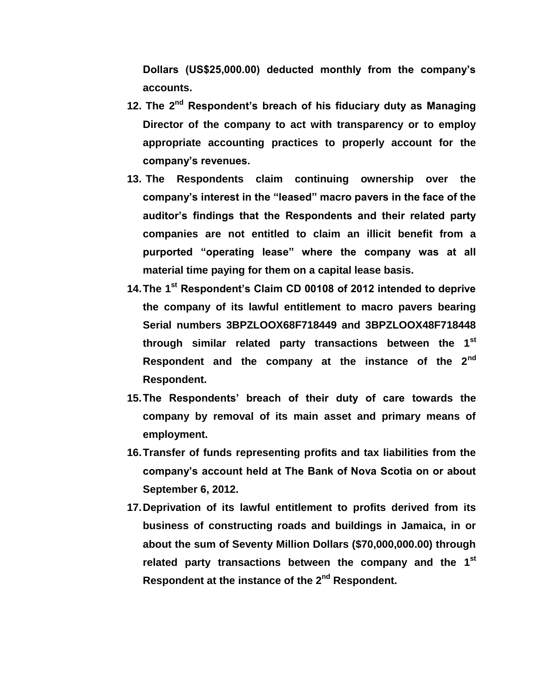**Dollars (US\$25,000.00) deducted monthly from the company's accounts.**

- **12. The 2nd Respondent's breach of his fiduciary duty as Managing Director of the company to act with transparency or to employ appropriate accounting practices to properly account for the company's revenues.**
- **13. The Respondents claim continuing ownership over the company's interest in the "leased" macro pavers in the face of the auditor's findings that the Respondents and their related party companies are not entitled to claim an illicit benefit from a purported "operating lease" where the company was at all material time paying for them on a capital lease basis.**
- **14.The 1st Respondent's Claim CD 00108 of 2012 intended to deprive the company of its lawful entitlement to macro pavers bearing Serial numbers 3BPZLOOX68F718449 and 3BPZLOOX48F718448 through similar related party transactions between the 1st Respondent and the company at the instance of the 2nd Respondent.**
- **15.The Respondents' breach of their duty of care towards the company by removal of its main asset and primary means of employment.**
- **16.Transfer of funds representing profits and tax liabilities from the company's account held at The Bank of Nova Scotia on or about September 6, 2012.**
- **17.Deprivation of its lawful entitlement to profits derived from its business of constructing roads and buildings in Jamaica, in or about the sum of Seventy Million Dollars (\$70,000,000.00) through related party transactions between the company and the 1 st Respondent at the instance of the 2nd Respondent.**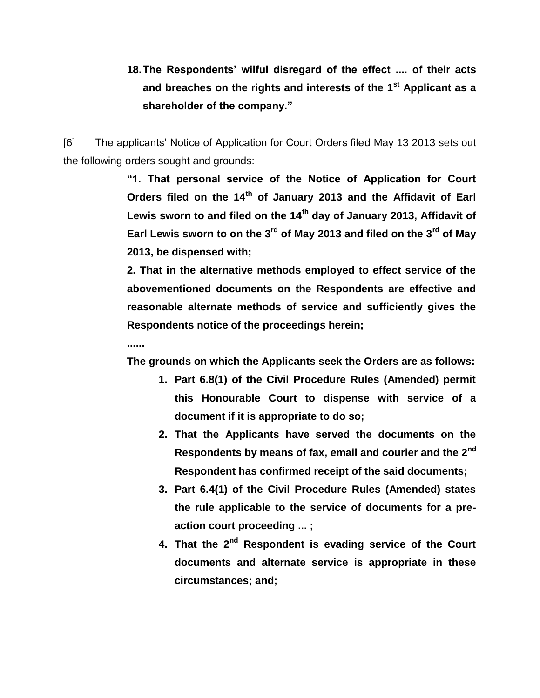# **18.The Respondents' wilful disregard of the effect .... of their acts and breaches on the rights and interests of the 1st Applicant as a shareholder of the company."**

[6] The applicants' Notice of Application for Court Orders filed May 13 2013 sets out the following orders sought and grounds:

> **"1. That personal service of the Notice of Application for Court Orders filed on the 14th of January 2013 and the Affidavit of Earl Lewis sworn to and filed on the 14th day of January 2013, Affidavit of Earl Lewis sworn to on the 3rd of May 2013 and filed on the 3rd of May 2013, be dispensed with;**

> **2. That in the alternative methods employed to effect service of the abovementioned documents on the Respondents are effective and reasonable alternate methods of service and sufficiently gives the Respondents notice of the proceedings herein;**

**......**

**The grounds on which the Applicants seek the Orders are as follows:**

- **1. Part 6.8(1) of the Civil Procedure Rules (Amended) permit this Honourable Court to dispense with service of a document if it is appropriate to do so;**
- **2. That the Applicants have served the documents on the Respondents by means of fax, email and courier and the 2nd Respondent has confirmed receipt of the said documents;**
- **3. Part 6.4(1) of the Civil Procedure Rules (Amended) states the rule applicable to the service of documents for a preaction court proceeding ... ;**
- **4. That the 2nd Respondent is evading service of the Court documents and alternate service is appropriate in these circumstances; and;**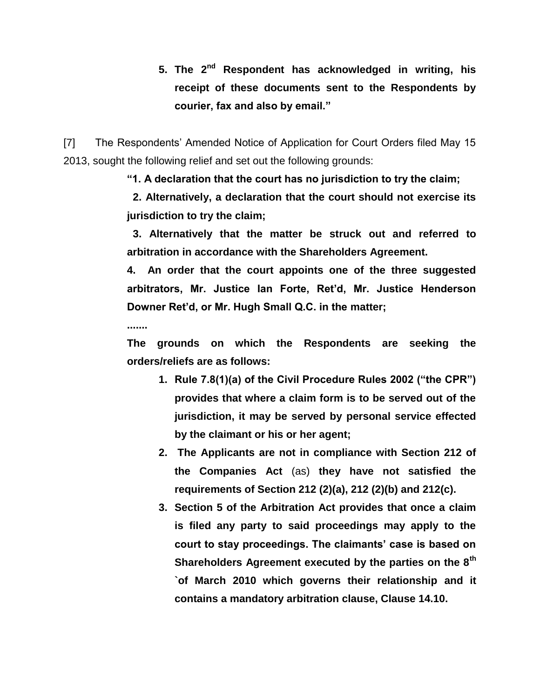**5. The 2nd Respondent has acknowledged in writing, his receipt of these documents sent to the Respondents by courier, fax and also by email."**

[7] The Respondents' Amended Notice of Application for Court Orders filed May 15 2013, sought the following relief and set out the following grounds:

**"1. A declaration that the court has no jurisdiction to try the claim;**

 **2. Alternatively, a declaration that the court should not exercise its jurisdiction to try the claim;**

 **3. Alternatively that the matter be struck out and referred to arbitration in accordance with the Shareholders Agreement.**

**4. An order that the court appoints one of the three suggested arbitrators, Mr. Justice Ian Forte, Ret'd, Mr. Justice Henderson Downer Ret'd, or Mr. Hugh Small Q.C. in the matter;**

**.......**

**The grounds on which the Respondents are seeking the orders/reliefs are as follows:**

- **1. Rule 7.8(1)(a) of the Civil Procedure Rules 2002 ("the CPR") provides that where a claim form is to be served out of the jurisdiction, it may be served by personal service effected by the claimant or his or her agent;**
- **2. The Applicants are not in compliance with Section 212 of the Companies Act** (as) **they have not satisfied the requirements of Section 212 (2)(a), 212 (2)(b) and 212(c).**
- **3. Section 5 of the Arbitration Act provides that once a claim is filed any party to said proceedings may apply to the court to stay proceedings. The claimants' case is based on Shareholders Agreement executed by the parties on the 8th `of March 2010 which governs their relationship and it contains a mandatory arbitration clause, Clause 14.10.**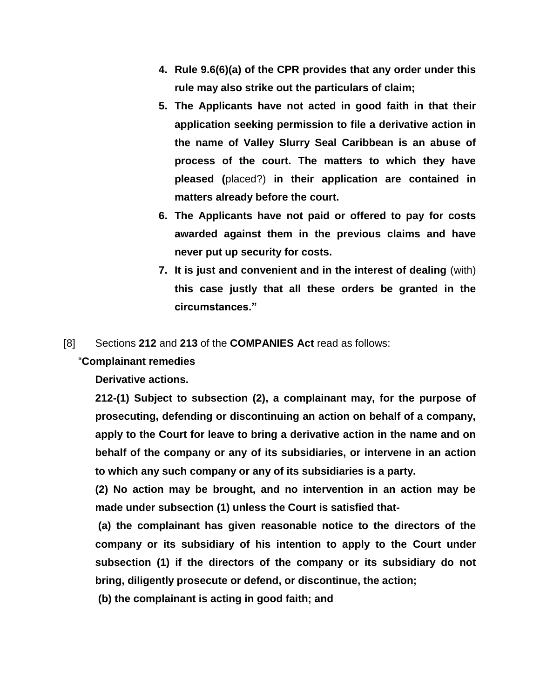- **4. Rule 9.6(6)(a) of the CPR provides that any order under this rule may also strike out the particulars of claim;**
- **5. The Applicants have not acted in good faith in that their application seeking permission to file a derivative action in the name of Valley Slurry Seal Caribbean is an abuse of process of the court. The matters to which they have pleased (**placed?) **in their application are contained in matters already before the court.**
- **6. The Applicants have not paid or offered to pay for costs awarded against them in the previous claims and have never put up security for costs.**
- **7. It is just and convenient and in the interest of dealing** (with) **this case justly that all these orders be granted in the circumstances."**

[8] Sections **212** and **213** of the **COMPANIES Act** read as follows:

"**Complainant remedies**

**Derivative actions.**

**212-(1) Subject to subsection (2), a complainant may, for the purpose of prosecuting, defending or discontinuing an action on behalf of a company, apply to the Court for leave to bring a derivative action in the name and on behalf of the company or any of its subsidiaries, or intervene in an action to which any such company or any of its subsidiaries is a party.**

**(2) No action may be brought, and no intervention in an action may be made under subsection (1) unless the Court is satisfied that-**

**(a) the complainant has given reasonable notice to the directors of the company or its subsidiary of his intention to apply to the Court under subsection (1) if the directors of the company or its subsidiary do not bring, diligently prosecute or defend, or discontinue, the action;**

**(b) the complainant is acting in good faith; and**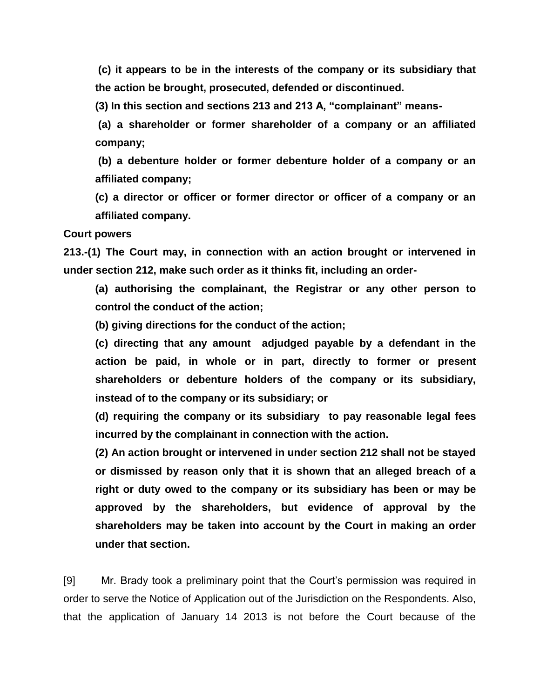**(c) it appears to be in the interests of the company or its subsidiary that the action be brought, prosecuted, defended or discontinued.**

**(3) In this section and sections 213 and 213 A, "complainant" means-**

**(a) a shareholder or former shareholder of a company or an affiliated company;**

**(b) a debenture holder or former debenture holder of a company or an affiliated company;**

**(c) a director or officer or former director or officer of a company or an affiliated company.**

**Court powers**

**213.-(1) The Court may, in connection with an action brought or intervened in under section 212, make such order as it thinks fit, including an order-**

**(a) authorising the complainant, the Registrar or any other person to control the conduct of the action;**

**(b) giving directions for the conduct of the action;**

**(c) directing that any amount adjudged payable by a defendant in the action be paid, in whole or in part, directly to former or present shareholders or debenture holders of the company or its subsidiary, instead of to the company or its subsidiary; or**

**(d) requiring the company or its subsidiary to pay reasonable legal fees incurred by the complainant in connection with the action.**

**(2) An action brought or intervened in under section 212 shall not be stayed or dismissed by reason only that it is shown that an alleged breach of a right or duty owed to the company or its subsidiary has been or may be approved by the shareholders, but evidence of approval by the shareholders may be taken into account by the Court in making an order under that section.** 

[9] Mr. Brady took a preliminary point that the Court's permission was required in order to serve the Notice of Application out of the Jurisdiction on the Respondents. Also, that the application of January 14 2013 is not before the Court because of the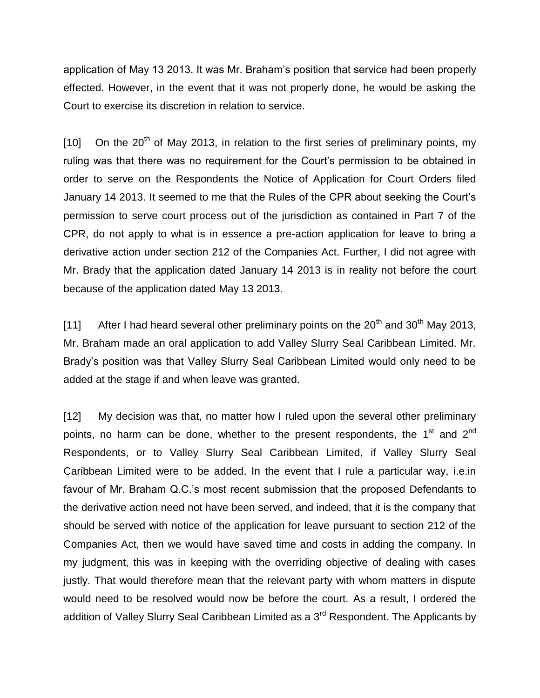application of May 13 2013. It was Mr. Braham's position that service had been properly effected. However, in the event that it was not properly done, he would be asking the Court to exercise its discretion in relation to service.

 $[10]$  On the  $20<sup>th</sup>$  of May 2013, in relation to the first series of preliminary points, my ruling was that there was no requirement for the Court's permission to be obtained in order to serve on the Respondents the Notice of Application for Court Orders filed January 14 2013. It seemed to me that the Rules of the CPR about seeking the Court's permission to serve court process out of the jurisdiction as contained in Part 7 of the CPR, do not apply to what is in essence a pre-action application for leave to bring a derivative action under section 212 of the Companies Act. Further, I did not agree with Mr. Brady that the application dated January 14 2013 is in reality not before the court because of the application dated May 13 2013.

[11] After I had heard several other preliminary points on the  $20<sup>th</sup>$  and  $30<sup>th</sup>$  May 2013, Mr. Braham made an oral application to add Valley Slurry Seal Caribbean Limited. Mr. Brady's position was that Valley Slurry Seal Caribbean Limited would only need to be added at the stage if and when leave was granted.

[12] My decision was that, no matter how I ruled upon the several other preliminary points, no harm can be done, whether to the present respondents, the 1<sup>st</sup> and 2<sup>nd</sup> Respondents, or to Valley Slurry Seal Caribbean Limited, if Valley Slurry Seal Caribbean Limited were to be added. In the event that I rule a particular way, i.e.in favour of Mr. Braham Q.C.'s most recent submission that the proposed Defendants to the derivative action need not have been served, and indeed, that it is the company that should be served with notice of the application for leave pursuant to section 212 of the Companies Act, then we would have saved time and costs in adding the company. In my judgment, this was in keeping with the overriding objective of dealing with cases justly. That would therefore mean that the relevant party with whom matters in dispute would need to be resolved would now be before the court. As a result, I ordered the addition of Valley Slurry Seal Caribbean Limited as a 3<sup>rd</sup> Respondent. The Applicants by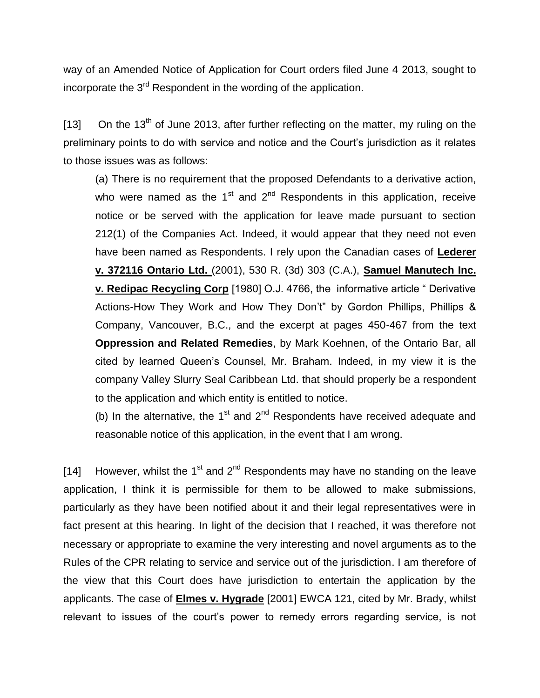way of an Amended Notice of Application for Court orders filed June 4 2013, sought to incorporate the  $3<sup>rd</sup>$  Respondent in the wording of the application.

 $[13]$  On the 13<sup>th</sup> of June 2013, after further reflecting on the matter, my ruling on the preliminary points to do with service and notice and the Court's jurisdiction as it relates to those issues was as follows:

(a) There is no requirement that the proposed Defendants to a derivative action, who were named as the  $1<sup>st</sup>$  and  $2<sup>nd</sup>$  Respondents in this application, receive notice or be served with the application for leave made pursuant to section 212(1) of the Companies Act. Indeed, it would appear that they need not even have been named as Respondents. I rely upon the Canadian cases of **Lederer v. 372116 Ontario Ltd.** (2001), 530 R. (3d) 303 (C.A.), **Samuel Manutech Inc. v. Redipac Recycling Corp** [1980] O.J. 4766, the informative article " Derivative Actions-How They Work and How They Don't" by Gordon Phillips, Phillips & Company, Vancouver, B.C., and the excerpt at pages 450-467 from the text **Oppression and Related Remedies**, by Mark Koehnen, of the Ontario Bar, all cited by learned Queen's Counsel, Mr. Braham. Indeed, in my view it is the company Valley Slurry Seal Caribbean Ltd. that should properly be a respondent to the application and which entity is entitled to notice.

(b) In the alternative, the 1<sup>st</sup> and 2<sup>nd</sup> Respondents have received adequate and reasonable notice of this application, in the event that I am wrong.

[14] However, whilst the 1<sup>st</sup> and 2<sup>nd</sup> Respondents may have no standing on the leave application, I think it is permissible for them to be allowed to make submissions, particularly as they have been notified about it and their legal representatives were in fact present at this hearing. In light of the decision that I reached, it was therefore not necessary or appropriate to examine the very interesting and novel arguments as to the Rules of the CPR relating to service and service out of the jurisdiction. I am therefore of the view that this Court does have jurisdiction to entertain the application by the applicants. The case of **Elmes v. Hygrade** [2001] EWCA 121, cited by Mr. Brady, whilst relevant to issues of the court's power to remedy errors regarding service, is not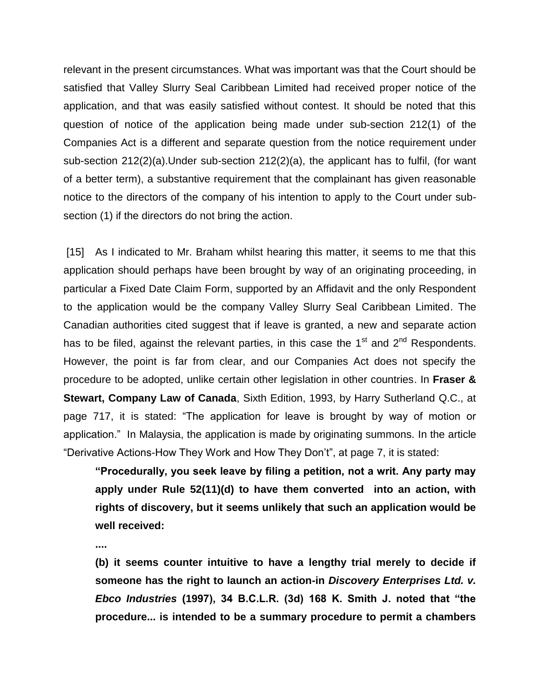relevant in the present circumstances. What was important was that the Court should be satisfied that Valley Slurry Seal Caribbean Limited had received proper notice of the application, and that was easily satisfied without contest. It should be noted that this question of notice of the application being made under sub-section 212(1) of the Companies Act is a different and separate question from the notice requirement under sub-section 212(2)(a).Under sub-section 212(2)(a), the applicant has to fulfil, (for want of a better term), a substantive requirement that the complainant has given reasonable notice to the directors of the company of his intention to apply to the Court under subsection (1) if the directors do not bring the action.

[15] As I indicated to Mr. Braham whilst hearing this matter, it seems to me that this application should perhaps have been brought by way of an originating proceeding, in particular a Fixed Date Claim Form, supported by an Affidavit and the only Respondent to the application would be the company Valley Slurry Seal Caribbean Limited. The Canadian authorities cited suggest that if leave is granted, a new and separate action has to be filed, against the relevant parties, in this case the  $1<sup>st</sup>$  and  $2<sup>nd</sup>$  Respondents. However, the point is far from clear, and our Companies Act does not specify the procedure to be adopted, unlike certain other legislation in other countries. In **Fraser & Stewart, Company Law of Canada**, Sixth Edition, 1993, by Harry Sutherland Q.C., at page 717, it is stated: "The application for leave is brought by way of motion or application." In Malaysia, the application is made by originating summons. In the article "Derivative Actions-How They Work and How They Don't", at page 7, it is stated:

**"Procedurally, you seek leave by filing a petition, not a writ. Any party may apply under Rule 52(11)(d) to have them converted into an action, with rights of discovery, but it seems unlikely that such an application would be well received:**

**....**

**(b) it seems counter intuitive to have a lengthy trial merely to decide if someone has the right to launch an action-in** *Discovery Enterprises Ltd. v. Ebco Industries* **(1997), 34 B.C.L.R. (3d) 168 K. Smith J. noted that "the procedure... is intended to be a summary procedure to permit a chambers**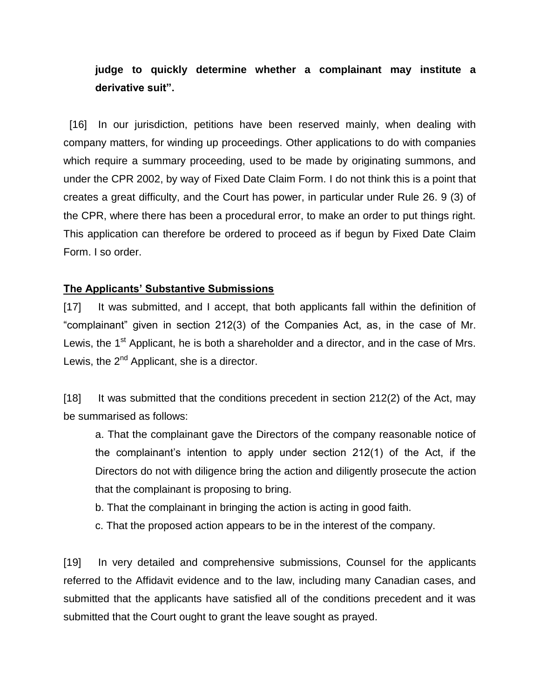# **judge to quickly determine whether a complainant may institute a derivative suit".**

[16] In our jurisdiction, petitions have been reserved mainly, when dealing with company matters, for winding up proceedings. Other applications to do with companies which require a summary proceeding, used to be made by originating summons, and under the CPR 2002, by way of Fixed Date Claim Form. I do not think this is a point that creates a great difficulty, and the Court has power, in particular under Rule 26. 9 (3) of the CPR, where there has been a procedural error, to make an order to put things right. This application can therefore be ordered to proceed as if begun by Fixed Date Claim Form. I so order.

### **The Applicants' Substantive Submissions**

[17] It was submitted, and I accept, that both applicants fall within the definition of "complainant" given in section 212(3) of the Companies Act, as, in the case of Mr. Lewis, the 1<sup>st</sup> Applicant, he is both a shareholder and a director, and in the case of Mrs. Lewis, the 2<sup>nd</sup> Applicant, she is a director.

[18] It was submitted that the conditions precedent in section 212(2) of the Act, may be summarised as follows:

a. That the complainant gave the Directors of the company reasonable notice of the complainant's intention to apply under section 212(1) of the Act, if the Directors do not with diligence bring the action and diligently prosecute the action that the complainant is proposing to bring.

b. That the complainant in bringing the action is acting in good faith.

c. That the proposed action appears to be in the interest of the company.

[19] In very detailed and comprehensive submissions, Counsel for the applicants referred to the Affidavit evidence and to the law, including many Canadian cases, and submitted that the applicants have satisfied all of the conditions precedent and it was submitted that the Court ought to grant the leave sought as prayed.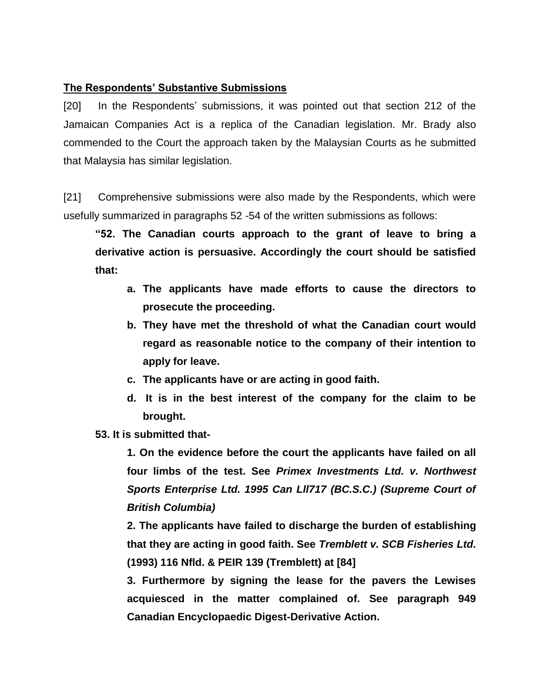# **The Respondents' Substantive Submissions**

[20] In the Respondents' submissions, it was pointed out that section 212 of the Jamaican Companies Act is a replica of the Canadian legislation. Mr. Brady also commended to the Court the approach taken by the Malaysian Courts as he submitted that Malaysia has similar legislation.

[21] Comprehensive submissions were also made by the Respondents, which were usefully summarized in paragraphs 52 -54 of the written submissions as follows:

**"52. The Canadian courts approach to the grant of leave to bring a derivative action is persuasive. Accordingly the court should be satisfied that:**

- **a. The applicants have made efforts to cause the directors to prosecute the proceeding.**
- **b. They have met the threshold of what the Canadian court would regard as reasonable notice to the company of their intention to apply for leave.**
- **c. The applicants have or are acting in good faith.**
- **d. It is in the best interest of the company for the claim to be brought.**

**53. It is submitted that-**

**1. On the evidence before the court the applicants have failed on all four limbs of the test. See** *Primex Investments Ltd. v. Northwest Sports Enterprise Ltd. 1995 Can Lll717 (BC.S.C.) (Supreme Court of British Columbia)*

**2. The applicants have failed to discharge the burden of establishing that they are acting in good faith. See** *Tremblett v. SCB Fisheries Ltd.*  **(1993) 116 Nfld. & PEIR 139 (Tremblett) at [84]**

**3. Furthermore by signing the lease for the pavers the Lewises acquiesced in the matter complained of. See paragraph 949 Canadian Encyclopaedic Digest-Derivative Action.**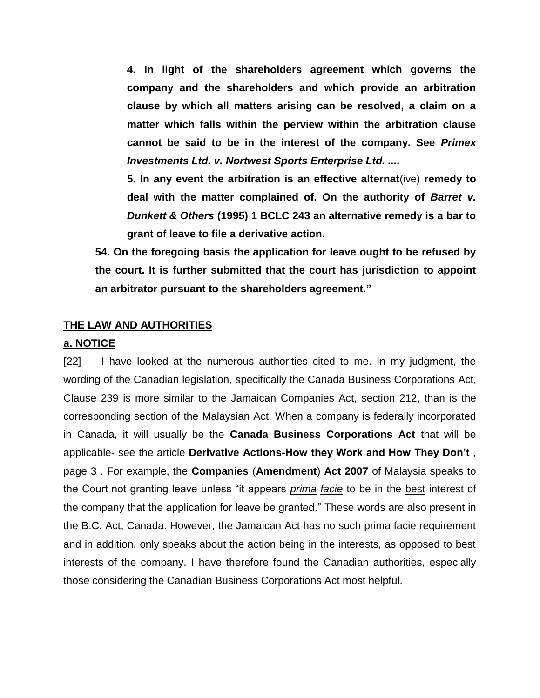**4. In light of the shareholders agreement which governs the company and the shareholders and which provide an arbitration clause by which all matters arising can be resolved, a claim on a matter which falls within the perview within the arbitration clause cannot be said to be in the interest of the company. See** *Primex Investments Ltd. v. Nortwest Sports Enterprise Ltd. ....*

**5. In any event the arbitration is an effective alternat**(ive) **remedy to deal with the matter complained of. On the authority of** *Barret v. Dunkett & Others* **(1995) 1 BCLC 243 an alternative remedy is a bar to grant of leave to file a derivative action.**

**54. On the foregoing basis the application for leave ought to be refused by the court. It is further submitted that the court has jurisdiction to appoint an arbitrator pursuant to the shareholders agreement."**

### **THE LAW AND AUTHORITIES**

#### **a. NOTICE**

[22] I have looked at the numerous authorities cited to me. In my judgment, the wording of the Canadian legislation, specifically the Canada Business Corporations Act, Clause 239 is more similar to the Jamaican Companies Act, section 212, than is the corresponding section of the Malaysian Act. When a company is federally incorporated in Canada, it will usually be the **Canada Business Corporations Act** that will be applicable- see the article **Derivative Actions-How they Work and How They Don't** , page 3 . For example, the **Companies** (**Amendment**) **Act 2007** of Malaysia speaks to the Court not granting leave unless "it appears *prima facie* to be in the best interest of the company that the application for leave be granted." These words are also present in the B.C. Act, Canada. However, the Jamaican Act has no such prima facie requirement and in addition, only speaks about the action being in the interests, as opposed to best interests of the company. I have therefore found the Canadian authorities, especially those considering the Canadian Business Corporations Act most helpful.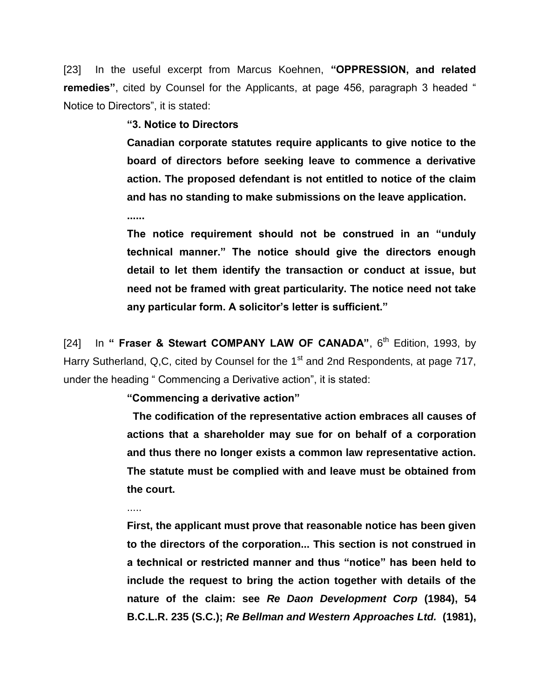[23] In the useful excerpt from Marcus Koehnen, **"OPPRESSION, and related remedies"**, cited by Counsel for the Applicants, at page 456, paragraph 3 headed " Notice to Directors", it is stated:

**"3. Notice to Directors**

**Canadian corporate statutes require applicants to give notice to the board of directors before seeking leave to commence a derivative action. The proposed defendant is not entitled to notice of the claim and has no standing to make submissions on the leave application.**

**......**

**The notice requirement should not be construed in an "unduly technical manner." The notice should give the directors enough detail to let them identify the transaction or conduct at issue, but need not be framed with great particularity. The notice need not take any particular form. A solicitor's letter is sufficient."**

[24] In " Fraser & Stewart COMPANY LAW OF CANADA", 6<sup>th</sup> Edition, 1993, by Harry Sutherland, Q,C, cited by Counsel for the 1<sup>st</sup> and 2nd Respondents, at page 717, under the heading " Commencing a Derivative action", it is stated:

**"Commencing a derivative action"**

**The codification of the representative action embraces all causes of actions that a shareholder may sue for on behalf of a corporation and thus there no longer exists a common law representative action. The statute must be complied with and leave must be obtained from the court.** 

.....

**First, the applicant must prove that reasonable notice has been given to the directors of the corporation... This section is not construed in a technical or restricted manner and thus "notice" has been held to include the request to bring the action together with details of the nature of the claim: see** *Re Daon Development Corp* **(1984), 54 B.C.L.R. 235 (S.C.);** *Re Bellman and Western Approaches Ltd.* **(1981),**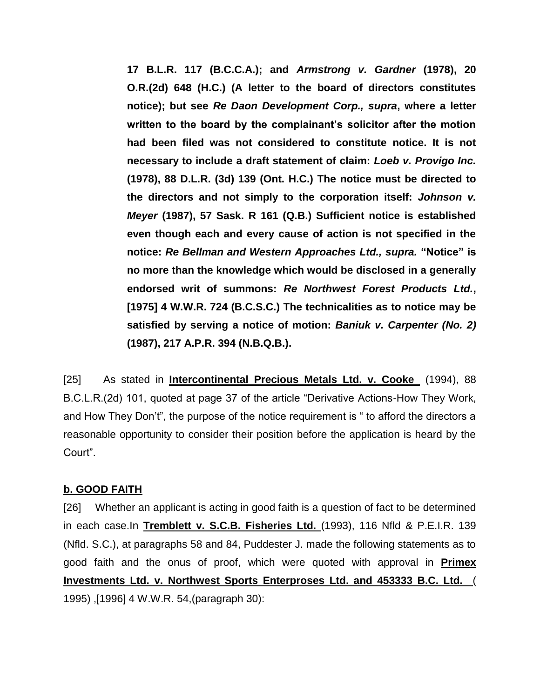**17 B.L.R. 117 (B.C.C.A.); and** *Armstrong v. Gardner* **(1978), 20 O.R.(2d) 648 (H.C.) (A letter to the board of directors constitutes notice); but see** *Re Daon Development Corp., supra***, where a letter written to the board by the complainant's solicitor after the motion had been filed was not considered to constitute notice. It is not necessary to include a draft statement of claim:** *Loeb v. Provigo Inc.*  **(1978), 88 D.L.R. (3d) 139 (Ont. H.C.) The notice must be directed to the directors and not simply to the corporation itself:** *Johnson v. Meyer* **(1987), 57 Sask. R 161 (Q.B.) Sufficient notice is established even though each and every cause of action is not specified in the notice:** *Re Bellman and Western Approaches Ltd., supra.* **"Notice" is no more than the knowledge which would be disclosed in a generally endorsed writ of summons:** *Re Northwest Forest Products Ltd.***, [1975] 4 W.W.R. 724 (B.C.S.C.) The technicalities as to notice may be satisfied by serving a notice of motion:** *Baniuk v. Carpenter (No. 2)*  **(1987), 217 A.P.R. 394 (N.B.Q.B.).**

[25] As stated in **Intercontinental Precious Metals Ltd. v. Cooke** (1994), 88 B.C.L.R.(2d) 101, quoted at page 37 of the article "Derivative Actions-How They Work, and How They Don't", the purpose of the notice requirement is " to afford the directors a reasonable opportunity to consider their position before the application is heard by the Court".

# **b. GOOD FAITH**

[26] Whether an applicant is acting in good faith is a question of fact to be determined in each case.In **Tremblett v. S.C.B. Fisheries Ltd.** (1993), 116 Nfld & P.E.I.R. 139 (Nfld. S.C.), at paragraphs 58 and 84, Puddester J. made the following statements as to good faith and the onus of proof, which were quoted with approval in **Primex Investments Ltd. v. Northwest Sports Enterproses Ltd. and 453333 B.C. Ltd.** ( 1995) ,[1996] 4 W.W.R. 54,(paragraph 30):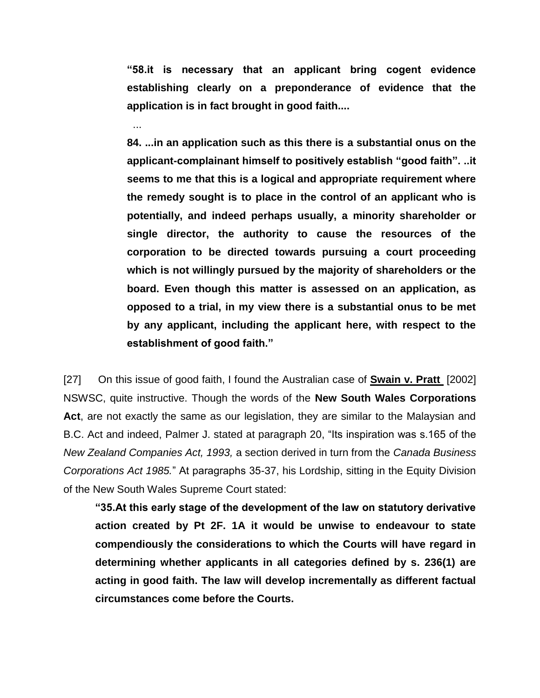**"58.it is necessary that an applicant bring cogent evidence establishing clearly on a preponderance of evidence that the application is in fact brought in good faith....**

...

**84. ...in an application such as this there is a substantial onus on the applicant-complainant himself to positively establish "good faith". ..it seems to me that this is a logical and appropriate requirement where the remedy sought is to place in the control of an applicant who is potentially, and indeed perhaps usually, a minority shareholder or single director, the authority to cause the resources of the corporation to be directed towards pursuing a court proceeding which is not willingly pursued by the majority of shareholders or the board. Even though this matter is assessed on an application, as opposed to a trial, in my view there is a substantial onus to be met by any applicant, including the applicant here, with respect to the establishment of good faith."**

[27] On this issue of good faith, I found the Australian case of **Swain v. Pratt** [2002] NSWSC, quite instructive. Though the words of the **New South Wales Corporations**  Act, are not exactly the same as our legislation, they are similar to the Malaysian and B.C. Act and indeed, Palmer J. stated at paragraph 20, "Its inspiration was s.165 of the *New Zealand Companies Act, 1993,* a section derived in turn from the *Canada Business Corporations Act 1985.*" At paragraphs 35-37, his Lordship, sitting in the Equity Division of the New South Wales Supreme Court stated:

**"35.At this early stage of the development of the law on statutory derivative action created by Pt 2F. 1A it would be unwise to endeavour to state compendiously the considerations to which the Courts will have regard in determining whether applicants in all categories defined by s. 236(1) are acting in good faith. The law will develop incrementally as different factual circumstances come before the Courts.**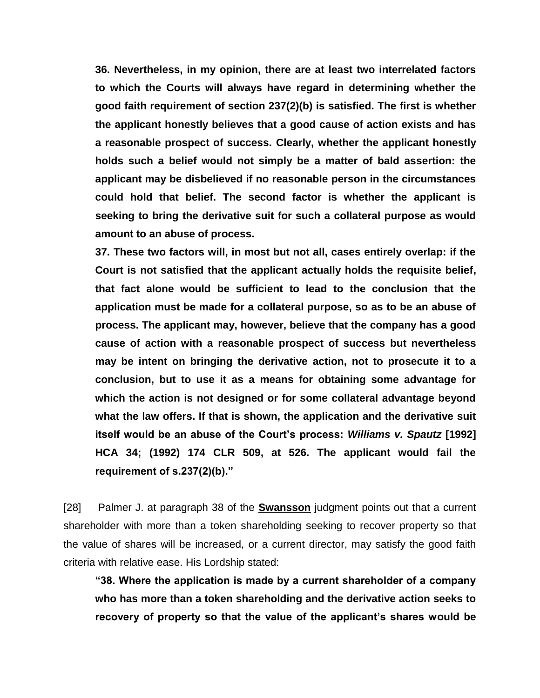**36. Nevertheless, in my opinion, there are at least two interrelated factors to which the Courts will always have regard in determining whether the good faith requirement of section 237(2)(b) is satisfied. The first is whether the applicant honestly believes that a good cause of action exists and has a reasonable prospect of success. Clearly, whether the applicant honestly holds such a belief would not simply be a matter of bald assertion: the applicant may be disbelieved if no reasonable person in the circumstances could hold that belief. The second factor is whether the applicant is seeking to bring the derivative suit for such a collateral purpose as would amount to an abuse of process.**

**37. These two factors will, in most but not all, cases entirely overlap: if the Court is not satisfied that the applicant actually holds the requisite belief, that fact alone would be sufficient to lead to the conclusion that the application must be made for a collateral purpose, so as to be an abuse of process. The applicant may, however, believe that the company has a good cause of action with a reasonable prospect of success but nevertheless may be intent on bringing the derivative action, not to prosecute it to a conclusion, but to use it as a means for obtaining some advantage for which the action is not designed or for some collateral advantage beyond what the law offers. If that is shown, the application and the derivative suit itself would be an abuse of the Court's process:** *Williams v. Spautz* **[1992] HCA 34; (1992) 174 CLR 509, at 526. The applicant would fail the requirement of s.237(2)(b)."**

[28] Palmer J. at paragraph 38 of the **Swansson** judgment points out that a current shareholder with more than a token shareholding seeking to recover property so that the value of shares will be increased, or a current director, may satisfy the good faith criteria with relative ease. His Lordship stated:

**"38. Where the application is made by a current shareholder of a company who has more than a token shareholding and the derivative action seeks to recovery of property so that the value of the applicant's shares would be**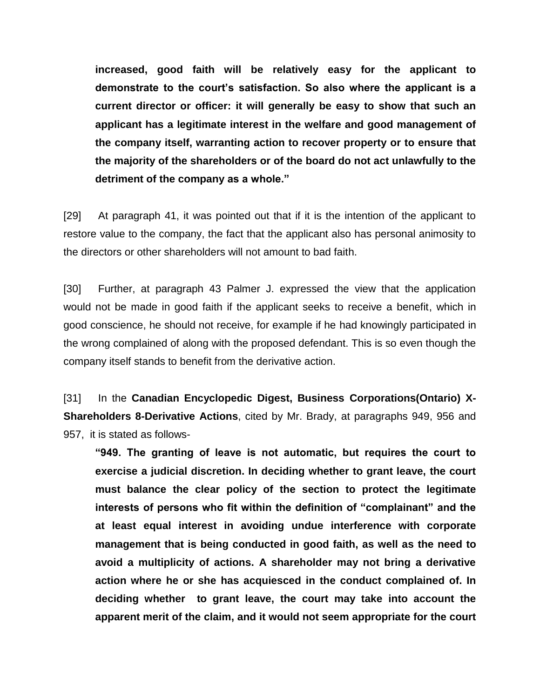**increased, good faith will be relatively easy for the applicant to demonstrate to the court's satisfaction. So also where the applicant is a current director or officer: it will generally be easy to show that such an applicant has a legitimate interest in the welfare and good management of the company itself, warranting action to recover property or to ensure that the majority of the shareholders or of the board do not act unlawfully to the detriment of the company as a whole."**

[29] At paragraph 41, it was pointed out that if it is the intention of the applicant to restore value to the company, the fact that the applicant also has personal animosity to the directors or other shareholders will not amount to bad faith.

[30] Further, at paragraph 43 Palmer J. expressed the view that the application would not be made in good faith if the applicant seeks to receive a benefit, which in good conscience, he should not receive, for example if he had knowingly participated in the wrong complained of along with the proposed defendant. This is so even though the company itself stands to benefit from the derivative action.

[31] In the **Canadian Encyclopedic Digest, Business Corporations(Ontario) X-Shareholders 8-Derivative Actions**, cited by Mr. Brady, at paragraphs 949, 956 and 957, it is stated as follows-

**"949. The granting of leave is not automatic, but requires the court to exercise a judicial discretion. In deciding whether to grant leave, the court must balance the clear policy of the section to protect the legitimate interests of persons who fit within the definition of "complainant" and the at least equal interest in avoiding undue interference with corporate management that is being conducted in good faith, as well as the need to avoid a multiplicity of actions. A shareholder may not bring a derivative action where he or she has acquiesced in the conduct complained of. In deciding whether to grant leave, the court may take into account the apparent merit of the claim, and it would not seem appropriate for the court**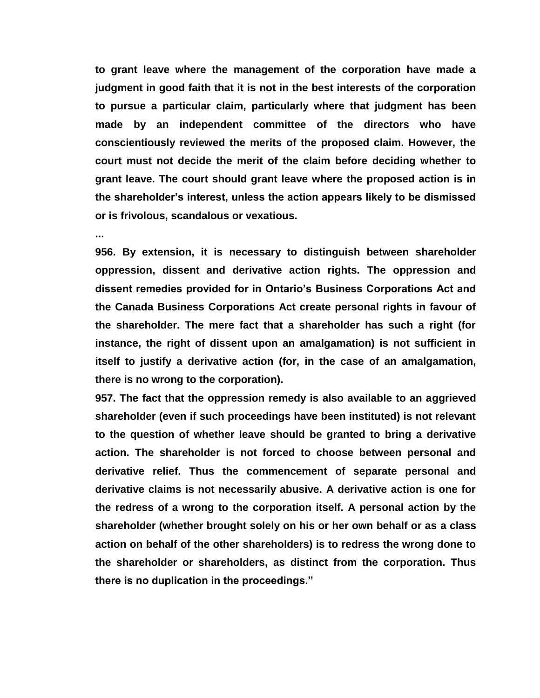**to grant leave where the management of the corporation have made a judgment in good faith that it is not in the best interests of the corporation to pursue a particular claim, particularly where that judgment has been made by an independent committee of the directors who have conscientiously reviewed the merits of the proposed claim. However, the court must not decide the merit of the claim before deciding whether to grant leave. The court should grant leave where the proposed action is in the shareholder's interest, unless the action appears likely to be dismissed or is frivolous, scandalous or vexatious.**

**...**

**956. By extension, it is necessary to distinguish between shareholder oppression, dissent and derivative action rights. The oppression and dissent remedies provided for in Ontario's Business Corporations Act and the Canada Business Corporations Act create personal rights in favour of the shareholder. The mere fact that a shareholder has such a right (for instance, the right of dissent upon an amalgamation) is not sufficient in itself to justify a derivative action (for, in the case of an amalgamation, there is no wrong to the corporation).**

**957. The fact that the oppression remedy is also available to an aggrieved shareholder (even if such proceedings have been instituted) is not relevant to the question of whether leave should be granted to bring a derivative action. The shareholder is not forced to choose between personal and derivative relief. Thus the commencement of separate personal and derivative claims is not necessarily abusive. A derivative action is one for the redress of a wrong to the corporation itself. A personal action by the shareholder (whether brought solely on his or her own behalf or as a class action on behalf of the other shareholders) is to redress the wrong done to the shareholder or shareholders, as distinct from the corporation. Thus there is no duplication in the proceedings."**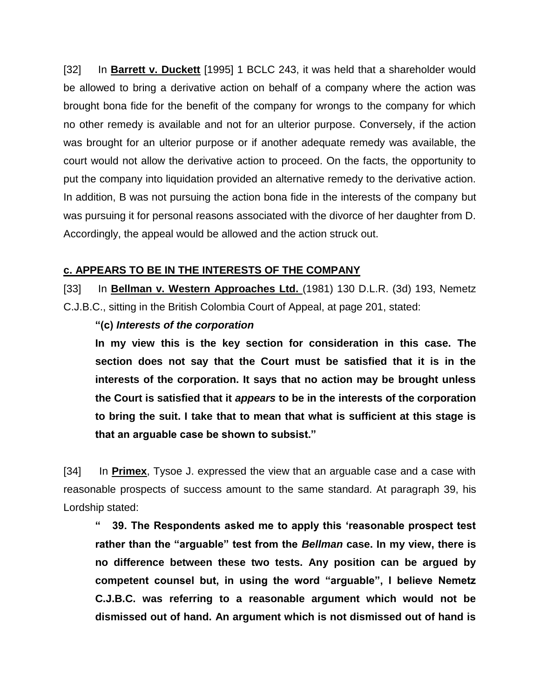[32] In **Barrett v. Duckett** [1995] 1 BCLC 243, it was held that a shareholder would be allowed to bring a derivative action on behalf of a company where the action was brought bona fide for the benefit of the company for wrongs to the company for which no other remedy is available and not for an ulterior purpose. Conversely, if the action was brought for an ulterior purpose or if another adequate remedy was available, the court would not allow the derivative action to proceed. On the facts, the opportunity to put the company into liquidation provided an alternative remedy to the derivative action. In addition, B was not pursuing the action bona fide in the interests of the company but was pursuing it for personal reasons associated with the divorce of her daughter from D. Accordingly, the appeal would be allowed and the action struck out.

# **c. APPEARS TO BE IN THE INTERESTS OF THE COMPANY**

[33] In **Bellman v. Western Approaches Ltd.** (1981) 130 D.L.R. (3d) 193, Nemetz C.J.B.C., sitting in the British Colombia Court of Appeal, at page 201, stated:

# **"(c)** *Interests of the corporation*

 **In my view this is the key section for consideration in this case. The section does not say that the Court must be satisfied that it is in the interests of the corporation. It says that no action may be brought unless the Court is satisfied that it** *appears* **to be in the interests of the corporation to bring the suit. I take that to mean that what is sufficient at this stage is that an arguable case be shown to subsist."**

[34]In **Primex**, Tysoe J. expressed the view that an arguable case and a case with reasonable prospects of success amount to the same standard. At paragraph 39, his Lordship stated:

**" 39. The Respondents asked me to apply this 'reasonable prospect test rather than the "arguable" test from the** *Bellman* **case. In my view, there is no difference between these two tests. Any position can be argued by competent counsel but, in using the word "arguable", I believe Nemetz C.J.B.C. was referring to a reasonable argument which would not be dismissed out of hand. An argument which is not dismissed out of hand is**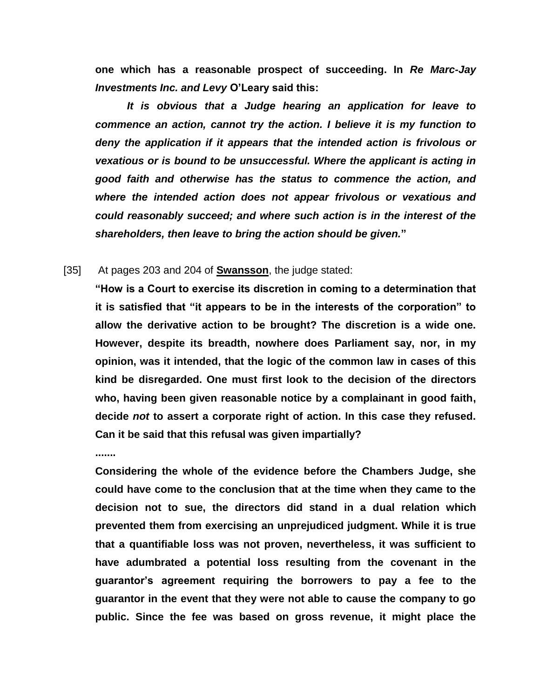**one which has a reasonable prospect of succeeding. In** *Re Marc-Jay Investments Inc. and Levy* **O'Leary said this:**

*It is obvious that a Judge hearing an application for leave to commence an action, cannot try the action. I believe it is my function to deny the application if it appears that the intended action is frivolous or vexatious or is bound to be unsuccessful. Where the applicant is acting in good faith and otherwise has the status to commence the action, and where the intended action does not appear frivolous or vexatious and could reasonably succeed; and where such action is in the interest of the shareholders, then leave to bring the action should be given.***"**

#### [35] At pages 203 and 204 of **Swansson**, the judge stated:

**"How is a Court to exercise its discretion in coming to a determination that it is satisfied that "it appears to be in the interests of the corporation" to allow the derivative action to be brought? The discretion is a wide one. However, despite its breadth, nowhere does Parliament say, nor, in my opinion, was it intended, that the logic of the common law in cases of this kind be disregarded. One must first look to the decision of the directors who, having been given reasonable notice by a complainant in good faith, decide** *not* **to assert a corporate right of action. In this case they refused. Can it be said that this refusal was given impartially?**

**.......**

**Considering the whole of the evidence before the Chambers Judge, she could have come to the conclusion that at the time when they came to the decision not to sue, the directors did stand in a dual relation which prevented them from exercising an unprejudiced judgment. While it is true that a quantifiable loss was not proven, nevertheless, it was sufficient to have adumbrated a potential loss resulting from the covenant in the guarantor's agreement requiring the borrowers to pay a fee to the guarantor in the event that they were not able to cause the company to go public. Since the fee was based on gross revenue, it might place the**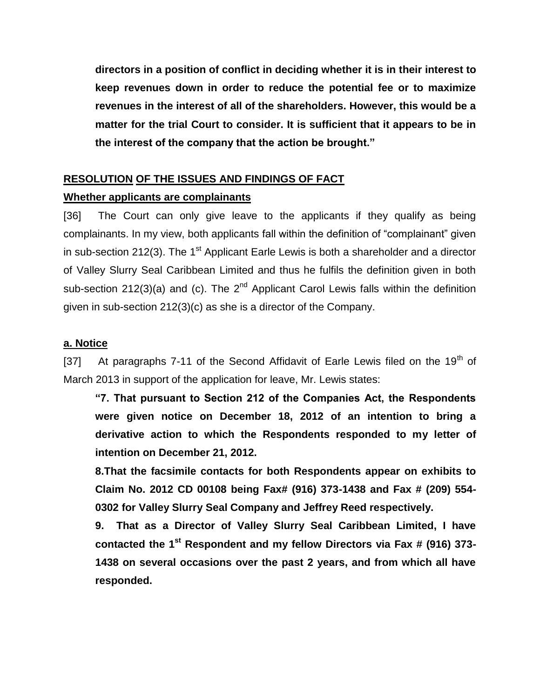**directors in a position of conflict in deciding whether it is in their interest to keep revenues down in order to reduce the potential fee or to maximize revenues in the interest of all of the shareholders. However, this would be a matter for the trial Court to consider. It is sufficient that it appears to be in the interest of the company that the action be brought."** 

### **RESOLUTION OF THE ISSUES AND FINDINGS OF FACT**

#### **Whether applicants are complainants**

[36] The Court can only give leave to the applicants if they qualify as being complainants. In my view, both applicants fall within the definition of "complainant" given in sub-section 212(3). The  $1<sup>st</sup>$  Applicant Earle Lewis is both a shareholder and a director of Valley Slurry Seal Caribbean Limited and thus he fulfils the definition given in both sub-section 212(3)(a) and (c). The  $2^{nd}$  Applicant Carol Lewis falls within the definition given in sub-section 212(3)(c) as she is a director of the Company.

#### **a. Notice**

[37] At paragraphs 7-11 of the Second Affidavit of Earle Lewis filed on the 19<sup>th</sup> of March 2013 in support of the application for leave, Mr. Lewis states:

**"7. That pursuant to Section 212 of the Companies Act, the Respondents were given notice on December 18, 2012 of an intention to bring a derivative action to which the Respondents responded to my letter of intention on December 21, 2012.**

**8.That the facsimile contacts for both Respondents appear on exhibits to Claim No. 2012 CD 00108 being Fax# (916) 373-1438 and Fax # (209) 554- 0302 for Valley Slurry Seal Company and Jeffrey Reed respectively.**

**9. That as a Director of Valley Slurry Seal Caribbean Limited, I have contacted the 1st Respondent and my fellow Directors via Fax # (916) 373- 1438 on several occasions over the past 2 years, and from which all have responded.**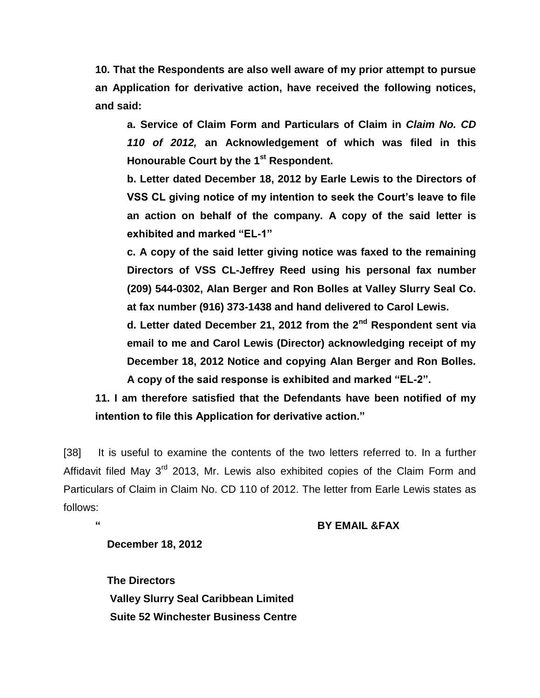**10. That the Respondents are also well aware of my prior attempt to pursue an Application for derivative action, have received the following notices, and said:**

**a. Service of Claim Form and Particulars of Claim in** *Claim No. CD 110 of 2012,* **an Acknowledgement of which was filed in this Honourable Court by the 1st Respondent.**

**b. Letter dated December 18, 2012 by Earle Lewis to the Directors of VSS CL giving notice of my intention to seek the Court's leave to file an action on behalf of the company. A copy of the said letter is exhibited and marked "EL-1"**

**c. A copy of the said letter giving notice was faxed to the remaining Directors of VSS CL-Jeffrey Reed using his personal fax number (209) 544-0302, Alan Berger and Ron Bolles at Valley Slurry Seal Co. at fax number (916) 373-1438 and hand delivered to Carol Lewis.**

**d. Letter dated December 21, 2012 from the 2nd Respondent sent via email to me and Carol Lewis (Director) acknowledging receipt of my December 18, 2012 Notice and copying Alan Berger and Ron Bolles. A copy of the said response is exhibited and marked "EL-2".**

**11. I am therefore satisfied that the Defendants have been notified of my intention to file this Application for derivative action."** 

[38] It is useful to examine the contents of the two letters referred to. In a further Affidavit filed May 3<sup>rd</sup> 2013, Mr. Lewis also exhibited copies of the Claim Form and Particulars of Claim in Claim No. CD 110 of 2012. The letter from Earle Lewis states as follows:

# **" BY EMAIL &FAX**

 **December 18, 2012**

 **The Directors Valley Slurry Seal Caribbean Limited Suite 52 Winchester Business Centre**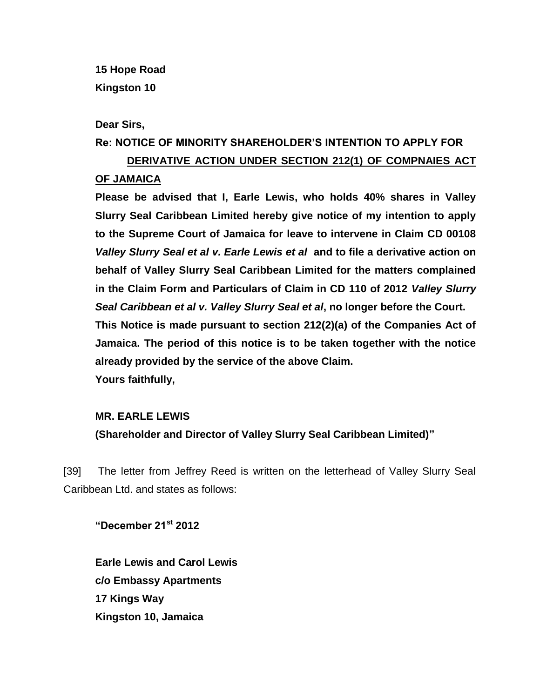**15 Hope Road Kingston 10**

**Dear Sirs,**

# **Re: NOTICE OF MINORITY SHAREHOLDER'S INTENTION TO APPLY FOR**

# **DERIVATIVE ACTION UNDER SECTION 212(1) OF COMPNAIES ACT OF JAMAICA**

**Please be advised that I, Earle Lewis, who holds 40% shares in Valley Slurry Seal Caribbean Limited hereby give notice of my intention to apply to the Supreme Court of Jamaica for leave to intervene in Claim CD 00108**  *Valley Slurry Seal et al v. Earle Lewis et al* **and to file a derivative action on behalf of Valley Slurry Seal Caribbean Limited for the matters complained in the Claim Form and Particulars of Claim in CD 110 of 2012** *Valley Slurry Seal Caribbean et al v. Valley Slurry Seal et al***, no longer before the Court. This Notice is made pursuant to section 212(2)(a) of the Companies Act of Jamaica. The period of this notice is to be taken together with the notice already provided by the service of the above Claim. Yours faithfully,**

# **MR. EARLE LEWIS**

**(Shareholder and Director of Valley Slurry Seal Caribbean Limited)"**

[39] The letter from Jeffrey Reed is written on the letterhead of Valley Slurry Seal Caribbean Ltd. and states as follows:

**"December 21st 2012**

**Earle Lewis and Carol Lewis c/o Embassy Apartments 17 Kings Way Kingston 10, Jamaica**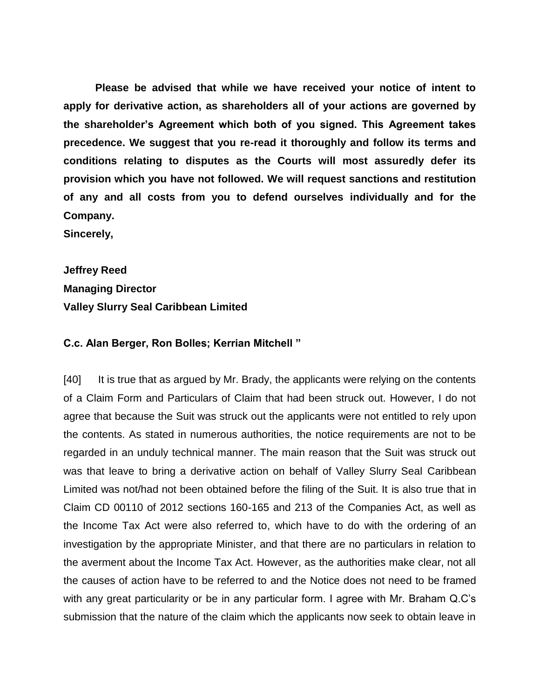**Please be advised that while we have received your notice of intent to apply for derivative action, as shareholders all of your actions are governed by the shareholder's Agreement which both of you signed. This Agreement takes precedence. We suggest that you re-read it thoroughly and follow its terms and conditions relating to disputes as the Courts will most assuredly defer its provision which you have not followed. We will request sanctions and restitution of any and all costs from you to defend ourselves individually and for the Company.**

**Sincerely,**

**Jeffrey Reed Managing Director Valley Slurry Seal Caribbean Limited**

#### **C.c. Alan Berger, Ron Bolles; Kerrian Mitchell "**

[40] It is true that as argued by Mr. Brady, the applicants were relying on the contents of a Claim Form and Particulars of Claim that had been struck out. However, I do not agree that because the Suit was struck out the applicants were not entitled to rely upon the contents. As stated in numerous authorities, the notice requirements are not to be regarded in an unduly technical manner. The main reason that the Suit was struck out was that leave to bring a derivative action on behalf of Valley Slurry Seal Caribbean Limited was not/had not been obtained before the filing of the Suit. It is also true that in Claim CD 00110 of 2012 sections 160-165 and 213 of the Companies Act, as well as the Income Tax Act were also referred to, which have to do with the ordering of an investigation by the appropriate Minister, and that there are no particulars in relation to the averment about the Income Tax Act. However, as the authorities make clear, not all the causes of action have to be referred to and the Notice does not need to be framed with any great particularity or be in any particular form. I agree with Mr. Braham Q.C's submission that the nature of the claim which the applicants now seek to obtain leave in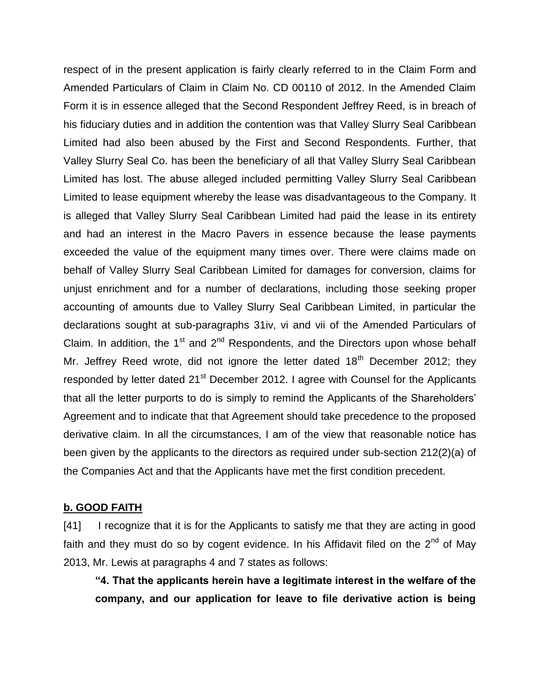respect of in the present application is fairly clearly referred to in the Claim Form and Amended Particulars of Claim in Claim No. CD 00110 of 2012. In the Amended Claim Form it is in essence alleged that the Second Respondent Jeffrey Reed, is in breach of his fiduciary duties and in addition the contention was that Valley Slurry Seal Caribbean Limited had also been abused by the First and Second Respondents. Further, that Valley Slurry Seal Co. has been the beneficiary of all that Valley Slurry Seal Caribbean Limited has lost. The abuse alleged included permitting Valley Slurry Seal Caribbean Limited to lease equipment whereby the lease was disadvantageous to the Company. It is alleged that Valley Slurry Seal Caribbean Limited had paid the lease in its entirety and had an interest in the Macro Pavers in essence because the lease payments exceeded the value of the equipment many times over. There were claims made on behalf of Valley Slurry Seal Caribbean Limited for damages for conversion, claims for unjust enrichment and for a number of declarations, including those seeking proper accounting of amounts due to Valley Slurry Seal Caribbean Limited, in particular the declarations sought at sub-paragraphs 31iv, vi and vii of the Amended Particulars of Claim. In addition, the  $1<sup>st</sup>$  and  $2<sup>nd</sup>$  Respondents, and the Directors upon whose behalf Mr. Jeffrey Reed wrote, did not ignore the letter dated  $18<sup>th</sup>$  December 2012; they responded by letter dated 21<sup>st</sup> December 2012. I agree with Counsel for the Applicants that all the letter purports to do is simply to remind the Applicants of the Shareholders' Agreement and to indicate that that Agreement should take precedence to the proposed derivative claim. In all the circumstances, I am of the view that reasonable notice has been given by the applicants to the directors as required under sub-section 212(2)(a) of the Companies Act and that the Applicants have met the first condition precedent.

### **b. GOOD FAITH**

[41] I recognize that it is for the Applicants to satisfy me that they are acting in good faith and they must do so by cogent evidence. In his Affidavit filed on the  $2^{nd}$  of May 2013, Mr. Lewis at paragraphs 4 and 7 states as follows:

**"4. That the applicants herein have a legitimate interest in the welfare of the company, and our application for leave to file derivative action is being**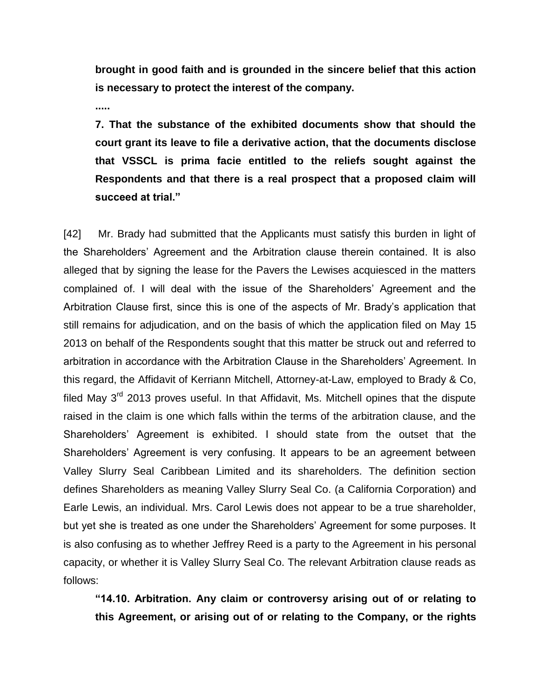**brought in good faith and is grounded in the sincere belief that this action is necessary to protect the interest of the company.**

**.....**

**7. That the substance of the exhibited documents show that should the court grant its leave to file a derivative action, that the documents disclose that VSSCL is prima facie entitled to the reliefs sought against the Respondents and that there is a real prospect that a proposed claim will succeed at trial."**

[42] Mr. Brady had submitted that the Applicants must satisfy this burden in light of the Shareholders' Agreement and the Arbitration clause therein contained. It is also alleged that by signing the lease for the Pavers the Lewises acquiesced in the matters complained of. I will deal with the issue of the Shareholders' Agreement and the Arbitration Clause first, since this is one of the aspects of Mr. Brady's application that still remains for adjudication, and on the basis of which the application filed on May 15 2013 on behalf of the Respondents sought that this matter be struck out and referred to arbitration in accordance with the Arbitration Clause in the Shareholders' Agreement. In this regard, the Affidavit of Kerriann Mitchell, Attorney-at-Law, employed to Brady & Co, filed Mav 3<sup>rd</sup> 2013 proves useful. In that Affidavit, Ms. Mitchell opines that the dispute raised in the claim is one which falls within the terms of the arbitration clause, and the Shareholders' Agreement is exhibited. I should state from the outset that the Shareholders' Agreement is very confusing. It appears to be an agreement between Valley Slurry Seal Caribbean Limited and its shareholders. The definition section defines Shareholders as meaning Valley Slurry Seal Co. (a California Corporation) and Earle Lewis, an individual. Mrs. Carol Lewis does not appear to be a true shareholder, but yet she is treated as one under the Shareholders' Agreement for some purposes. It is also confusing as to whether Jeffrey Reed is a party to the Agreement in his personal capacity, or whether it is Valley Slurry Seal Co. The relevant Arbitration clause reads as follows:

**"14.10. Arbitration. Any claim or controversy arising out of or relating to this Agreement, or arising out of or relating to the Company, or the rights**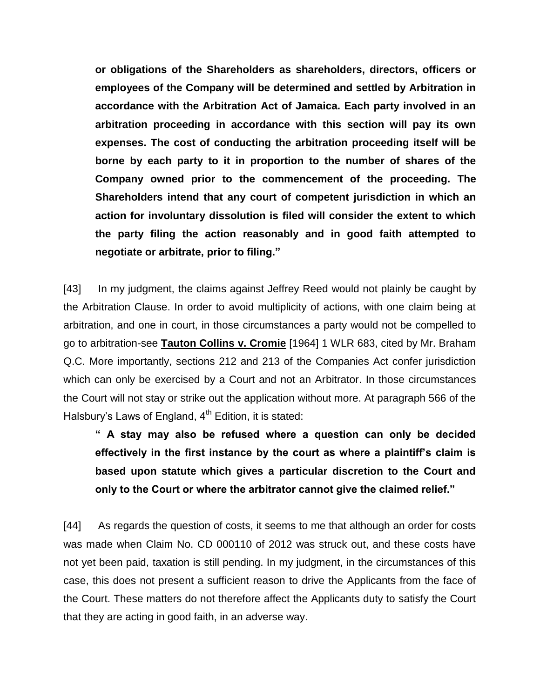**or obligations of the Shareholders as shareholders, directors, officers or employees of the Company will be determined and settled by Arbitration in accordance with the Arbitration Act of Jamaica. Each party involved in an arbitration proceeding in accordance with this section will pay its own expenses. The cost of conducting the arbitration proceeding itself will be borne by each party to it in proportion to the number of shares of the Company owned prior to the commencement of the proceeding. The Shareholders intend that any court of competent jurisdiction in which an action for involuntary dissolution is filed will consider the extent to which the party filing the action reasonably and in good faith attempted to negotiate or arbitrate, prior to filing."**

[43] In my judgment, the claims against Jeffrey Reed would not plainly be caught by the Arbitration Clause. In order to avoid multiplicity of actions, with one claim being at arbitration, and one in court, in those circumstances a party would not be compelled to go to arbitration-see **Tauton Collins v. Cromie** [1964] 1 WLR 683, cited by Mr. Braham Q.C. More importantly, sections 212 and 213 of the Companies Act confer jurisdiction which can only be exercised by a Court and not an Arbitrator. In those circumstances the Court will not stay or strike out the application without more. At paragraph 566 of the Halsbury's Laws of England,  $4<sup>th</sup>$  Edition, it is stated:

**" A stay may also be refused where a question can only be decided effectively in the first instance by the court as where a plaintiff's claim is based upon statute which gives a particular discretion to the Court and only to the Court or where the arbitrator cannot give the claimed relief."**

[44] As regards the question of costs, it seems to me that although an order for costs was made when Claim No. CD 000110 of 2012 was struck out, and these costs have not yet been paid, taxation is still pending. In my judgment, in the circumstances of this case, this does not present a sufficient reason to drive the Applicants from the face of the Court. These matters do not therefore affect the Applicants duty to satisfy the Court that they are acting in good faith, in an adverse way.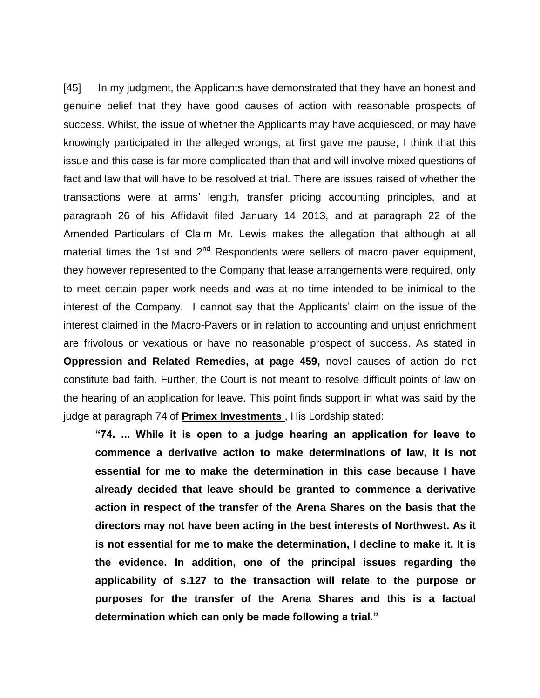[45] In my judgment, the Applicants have demonstrated that they have an honest and genuine belief that they have good causes of action with reasonable prospects of success. Whilst, the issue of whether the Applicants may have acquiesced, or may have knowingly participated in the alleged wrongs, at first gave me pause, I think that this issue and this case is far more complicated than that and will involve mixed questions of fact and law that will have to be resolved at trial. There are issues raised of whether the transactions were at arms' length, transfer pricing accounting principles, and at paragraph 26 of his Affidavit filed January 14 2013, and at paragraph 22 of the Amended Particulars of Claim Mr. Lewis makes the allegation that although at all material times the 1st and  $2<sup>nd</sup>$  Respondents were sellers of macro paver equipment, they however represented to the Company that lease arrangements were required, only to meet certain paper work needs and was at no time intended to be inimical to the interest of the Company. I cannot say that the Applicants' claim on the issue of the interest claimed in the Macro-Pavers or in relation to accounting and unjust enrichment are frivolous or vexatious or have no reasonable prospect of success. As stated in **Oppression and Related Remedies, at page 459,** novel causes of action do not constitute bad faith. Further, the Court is not meant to resolve difficult points of law on the hearing of an application for leave. This point finds support in what was said by the judge at paragraph 74 of **Primex Investments** , His Lordship stated:

**"74. ... While it is open to a judge hearing an application for leave to commence a derivative action to make determinations of law, it is not essential for me to make the determination in this case because I have already decided that leave should be granted to commence a derivative action in respect of the transfer of the Arena Shares on the basis that the directors may not have been acting in the best interests of Northwest. As it is not essential for me to make the determination, I decline to make it. It is the evidence. In addition, one of the principal issues regarding the applicability of s.127 to the transaction will relate to the purpose or purposes for the transfer of the Arena Shares and this is a factual determination which can only be made following a trial."**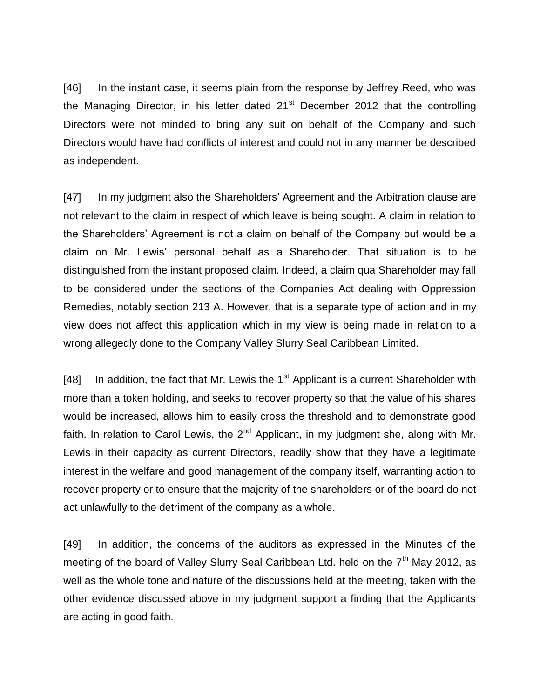[46] In the instant case, it seems plain from the response by Jeffrey Reed, who was the Managing Director, in his letter dated  $21<sup>st</sup>$  December 2012 that the controlling Directors were not minded to bring any suit on behalf of the Company and such Directors would have had conflicts of interest and could not in any manner be described as independent.

[47] In my judgment also the Shareholders' Agreement and the Arbitration clause are not relevant to the claim in respect of which leave is being sought. A claim in relation to the Shareholders' Agreement is not a claim on behalf of the Company but would be a claim on Mr. Lewis' personal behalf as a Shareholder. That situation is to be distinguished from the instant proposed claim. Indeed, a claim qua Shareholder may fall to be considered under the sections of the Companies Act dealing with Oppression Remedies, notably section 213 A. However, that is a separate type of action and in my view does not affect this application which in my view is being made in relation to a wrong allegedly done to the Company Valley Slurry Seal Caribbean Limited.

[48] In addition, the fact that Mr. Lewis the  $1<sup>st</sup>$  Applicant is a current Shareholder with more than a token holding, and seeks to recover property so that the value of his shares would be increased, allows him to easily cross the threshold and to demonstrate good faith. In relation to Carol Lewis, the  $2<sup>nd</sup>$  Applicant, in my judgment she, along with Mr. Lewis in their capacity as current Directors, readily show that they have a legitimate interest in the welfare and good management of the company itself, warranting action to recover property or to ensure that the majority of the shareholders or of the board do not act unlawfully to the detriment of the company as a whole.

[49] In addition, the concerns of the auditors as expressed in the Minutes of the meeting of the board of Valley Slurry Seal Caribbean Ltd. held on the  $7<sup>th</sup>$  May 2012, as well as the whole tone and nature of the discussions held at the meeting, taken with the other evidence discussed above in my judgment support a finding that the Applicants are acting in good faith.